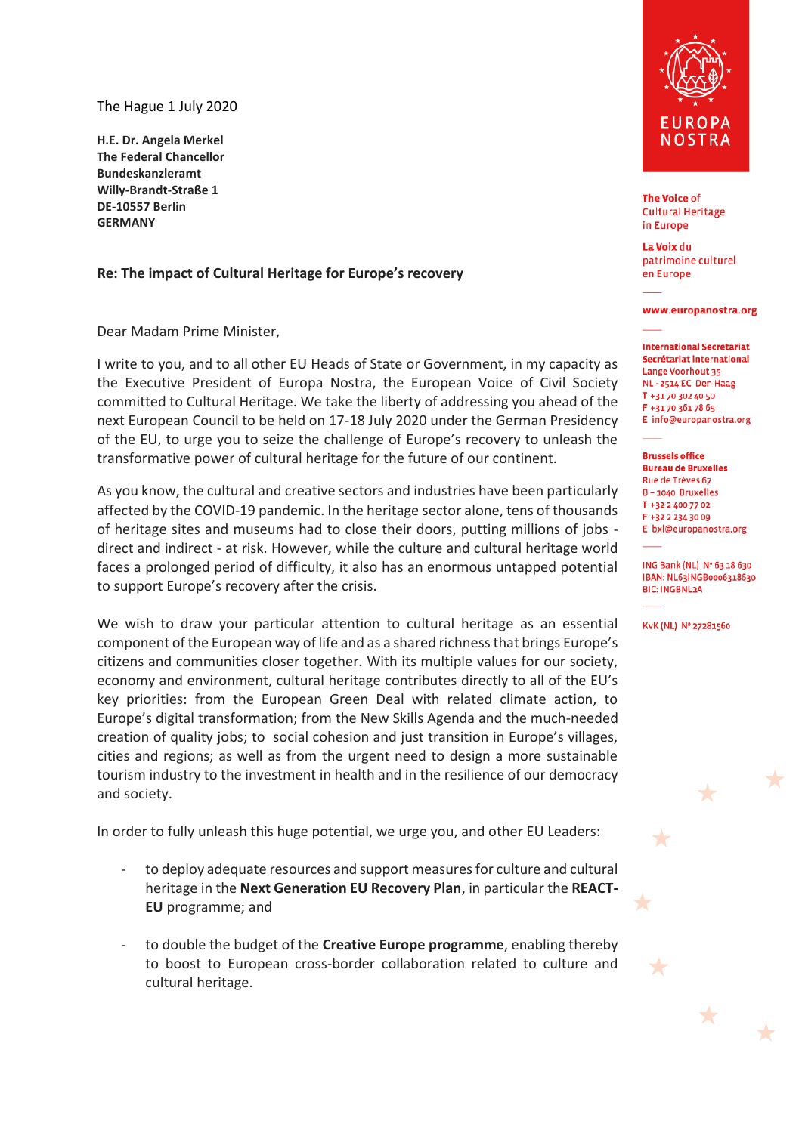The Hague 1 July 2020

**H.E. Dr. Angela Merkel The Federal Chancellor Bundeskanzleramt Willy-Brandt-Straße 1 DE-10557 Berlin GERMANY** 

## **Re: The impact of Cultural Heritage for Europe's recovery**

Dear Madam Prime Minister,

I write to you, and to all other EU Heads of State or Government, in my capacity as the Executive President of Europa Nostra, the European Voice of Civil Society committed to Cultural Heritage. We take the liberty of addressing you ahead of the next European Council to be held on 17-18 July 2020 under the German Presidency of the EU, to urge you to seize the challenge of Europe's recovery to unleash the transformative power of cultural heritage for the future of our continent.

As you know, the cultural and creative sectors and industries have been particularly affected by the COVID-19 pandemic. In the heritage sector alone, tens of thousands of heritage sites and museums had to close their doors, putting millions of jobs direct and indirect - at risk. However, while the culture and cultural heritage world faces a prolonged period of difficulty, it also has an enormous untapped potential to support Europe's recovery after the crisis.

We wish to draw your particular attention to cultural heritage as an essential component of the European way of life and as a shared richness that brings Europe's citizens and communities closer together. With its multiple values for our society, economy and environment, cultural heritage contributes directly to all of the EU's key priorities: from the European Green Deal with related climate action, to Europe's digital transformation; from the New Skills Agenda and the much-needed creation of quality jobs; to social cohesion and just transition in Europe's villages, cities and regions; as well as from the urgent need to design a more sustainable tourism industry to the investment in health and in the resilience of our democracy and society.

In order to fully unleash this huge potential, we urge you, and other EU Leaders:

- to deploy adequate resources and support measures for culture and cultural heritage in the **Next Generation EU Recovery Plan**, in particular the **REACT-EU** programme; and
- to double the budget of the **Creative Europe programme**, enabling thereby to boost to European cross-border collaboration related to culture and cultural heritage.



**The Voice of Cultural Heritage** in Europe

La Voix du patrimoine culturel en Europe

## www.europanostra.org

**International Secretariat** Secrétariat international Lange Voorhout 35 NL-2514 EC Den Haag T +31 70 302 40 50 F +31 70 361 78 65 E info@europanostra.org

**Brussels office Bureau de Bruxelles** Rue de Trèves 67 B - 1040 Bruxelles T +32 2 400 77 02 F +32 2 234 30 09 E bxl@europanostra.org

ING Bank (NL) Nº 63 18 630 IBAN: NL63INGB0006318630 **BIC: INGBNL2A** 

KvK (NL) Nº 27281560

★

 $\bigstar$